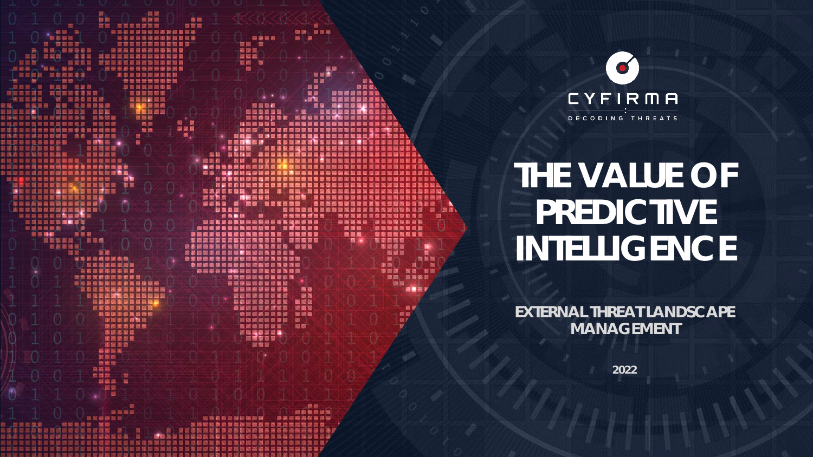

医亚目

西製版

医第 照言

■ ■ ■ ■ ■ ■



# **THE VALUE OF PREDICTIVE INTELLIGENCE**

**EXTERNAL THREAT LANDSCAPE MANAGEMENT**

**2022**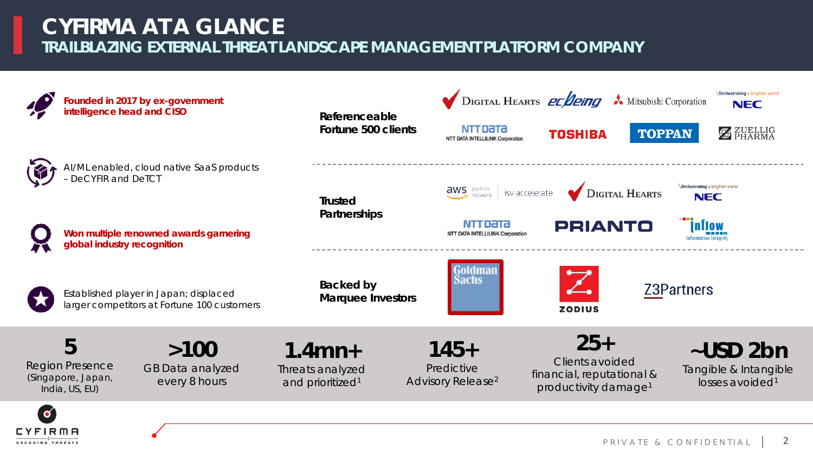### **TRAILBLAZING EXTERNAL THREAT LANDSCAPE MANAGEMENT PLATFORM COMPANY CYFIRMA AT A GLANCE**

**DECODING THREATS** 

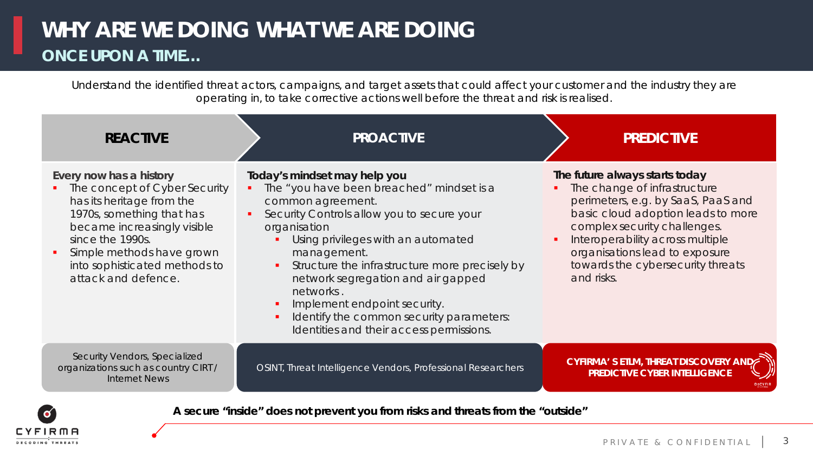## **WHY ARE WE DOING WHAT WE ARE DOING ONCE UPON A TIME…**

Understand the identified threat actors, campaigns, and target assets that could affect your customer and the industry they are operating in, to take corrective actions well before the threat and risk is realised.

| <b>REACTIVE</b>                                                                                                                                                                                                                                              | <b>PROACTIVE</b>                                                                                                                                                                                                                                                                                                                                                                                                                                                 | <b>PREDICTIVE</b>                                                                                                                                                                                                                                                                                   |
|--------------------------------------------------------------------------------------------------------------------------------------------------------------------------------------------------------------------------------------------------------------|------------------------------------------------------------------------------------------------------------------------------------------------------------------------------------------------------------------------------------------------------------------------------------------------------------------------------------------------------------------------------------------------------------------------------------------------------------------|-----------------------------------------------------------------------------------------------------------------------------------------------------------------------------------------------------------------------------------------------------------------------------------------------------|
| Every now has a history<br>• The concept of Cyber Security<br>has its heritage from the<br>1970s, something that has<br>became increasingly visible<br>since the 1990s.<br>Simple methods have grown<br>into sophisticated methods to<br>attack and defence. | Today's mindset may help you<br>The "you have been breached" mindset is a<br>common agreement.<br>Security Controls allow you to secure your<br>organisation<br>Using privileges with an automated<br>management.<br>Structure the infrastructure more precisely by<br>$\blacksquare$<br>network segregation and air gapped<br>networks.<br>Implement endpoint security.<br>Identify the common security parameters:<br>Identities and their access permissions. | The future always starts today<br>The change of infrastructure<br>perimeters, e.g. by SaaS, PaaS and<br>basic cloud adoption leads to more<br>complex security challenges.<br>Interoperability across multiple<br>organisations lead to exposure<br>towards the cybersecurity threats<br>and risks. |
| Security Vendors, Specialized<br>organizations such as country CIRT /<br><b>Internet News</b>                                                                                                                                                                | OSINT, Threat Intelligence Vendors, Professional Researchers                                                                                                                                                                                                                                                                                                                                                                                                     | CYFIRMA' S ETLM, THREAT DISCOVERY AND<br><b>PREDICTIVE CYBER INTELLIGENCE</b>                                                                                                                                                                                                                       |

**A secure "inside" does not prevent you from risks and threats from the "outside"**

FIRMA **DECODING THREATS**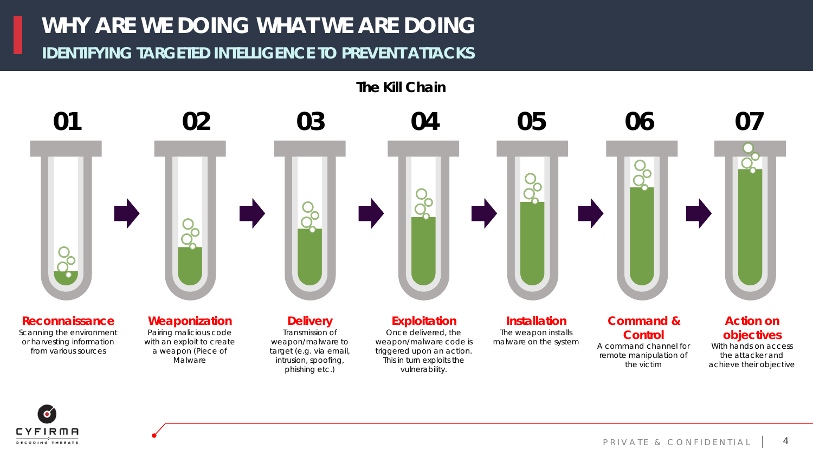**IDENTIFYING TARGETED INTELLIGENCE TO PREVENT ATTACKS**



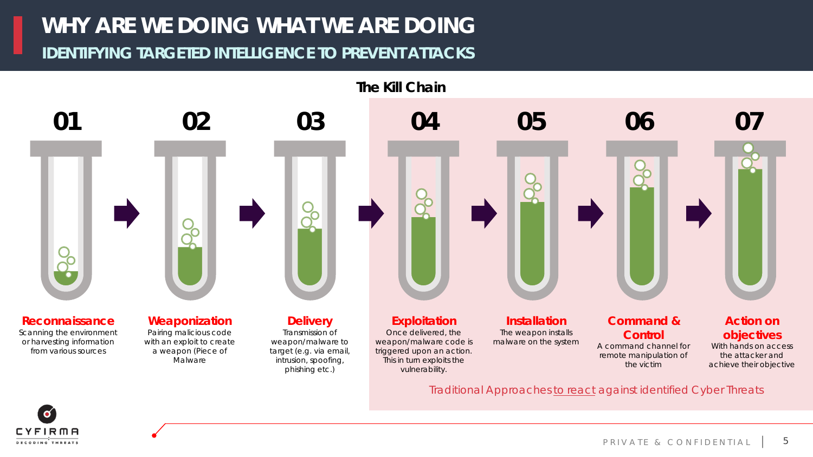#### **IDENTIFYING TARGETED INTELLIGENCE TO PREVENT ATTACKS**



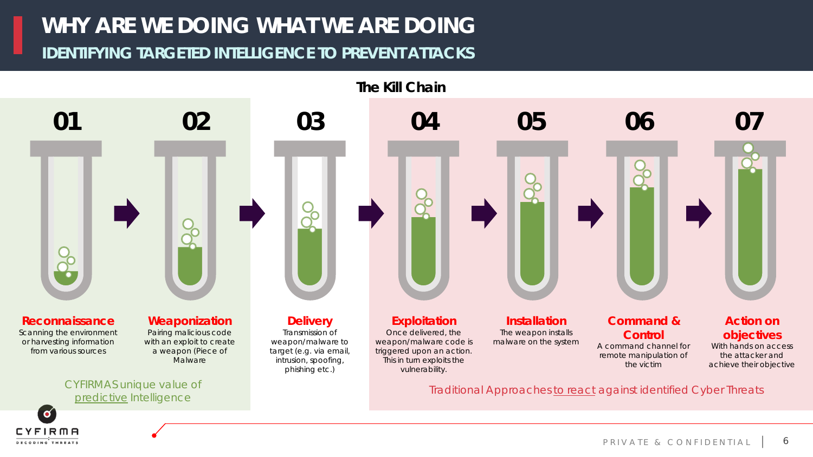#### **IDENTIFYING TARGETED INTELLIGENCE TO PREVENT ATTACKS**



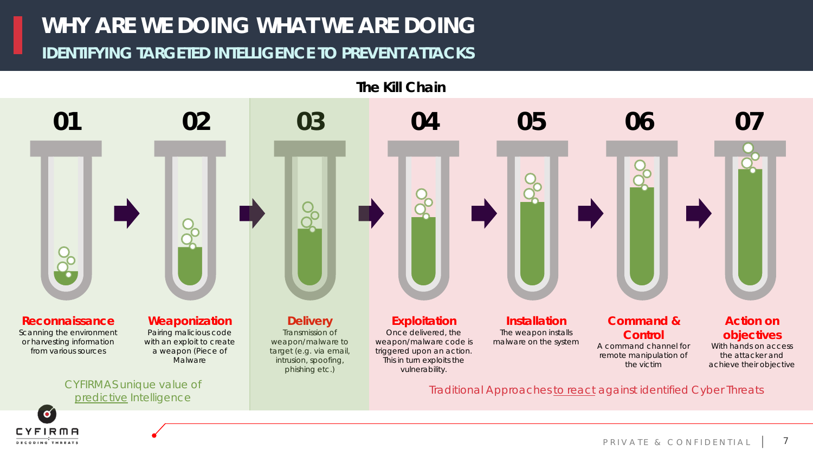#### **IDENTIFYING TARGETED INTELLIGENCE TO PREVENT ATTACKS**

**DECODING THREATS** 

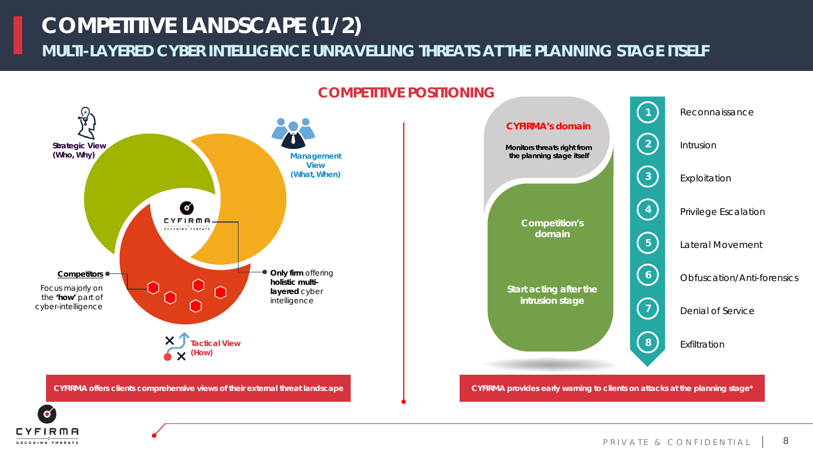## **COMPETITIVE LANDSCAPE (1/2)**

**MULTI-LAYERED CYBER INTELLIGENCE UNRAVELLING THREATS AT THE PLANNING STAGE ITSELF**



#### **COMPETITIVE POSITIONING**



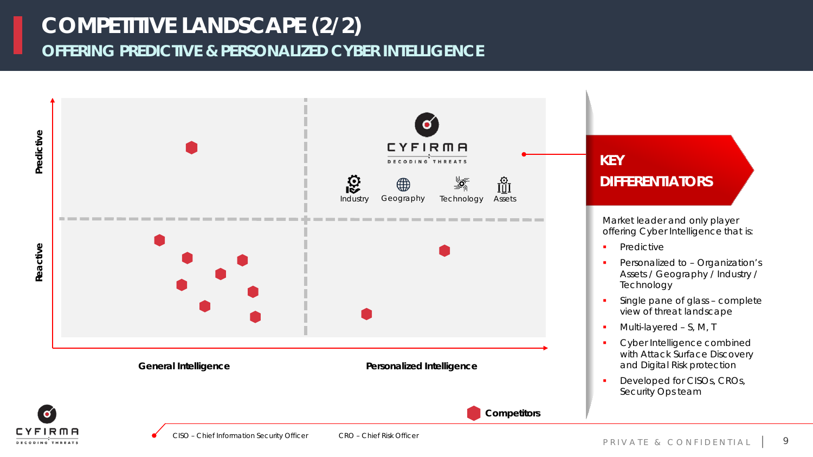## **OFFERING PREDICTIVE & PERSONALIZED CYBER INTELLIGENCE COMPETITIVE LANDSCAPE (2/2)**



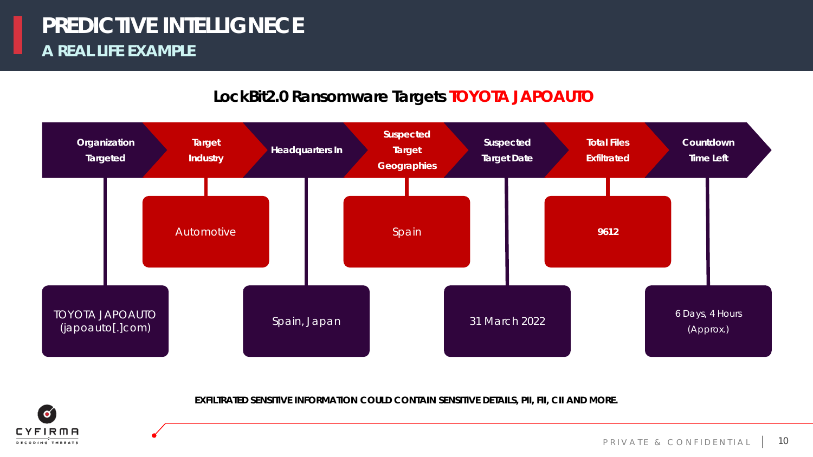#### **LockBit2.0 Ransomware Targets TOYOTA JAPOAUTO**



**EXFILTRATED SENSITIVE INFORMATION COULD CONTAIN SENSITIVE DETAILS, PII, FII, CII AND MORE.**

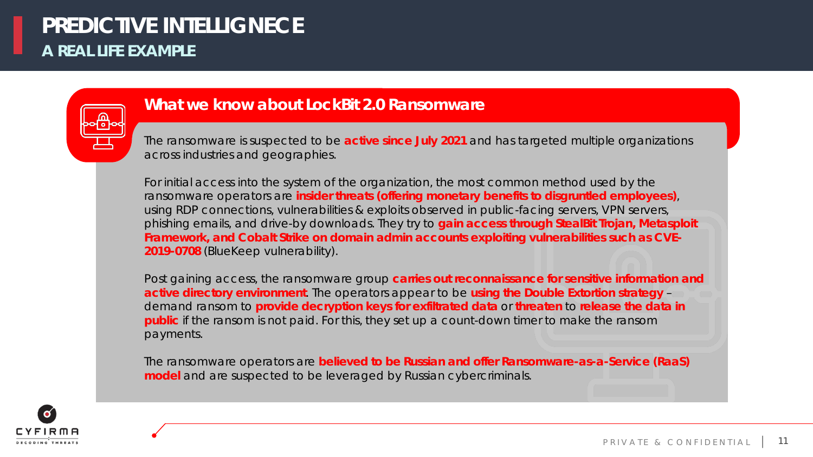

#### **What we know about LockBit 2.0 Ransomware**

The ransomware is suspected to be **active since July 2021** and has targeted multiple organizations across industries and geographies.

For initial access into the system of the organization, the most common method used by the ransomware operators are **insider threats (offering monetary benefits to disgruntled employees)**, using RDP connections, vulnerabilities & exploits observed in public-facing servers, VPN servers, phishing emails, and drive-by downloads. They try to **gain access through StealBit Trojan, Metasploit Framework, and Cobalt Strike on domain admin accounts exploiting vulnerabilities such as CVE-2019-0708** (BlueKeep vulnerability).

Post gaining access, the ransomware group **carries out reconnaissance for sensitive information and active directory environment**. The operators appear to be **using the Double Extortion strategy** – demand ransom to **provide decryption keys for exfiltrated data** or **threaten** to **release the data in public** if the ransom is not paid. For this, they set up a count-down timer to make the ransom payments.

The ransomware operators are **believed to be Russian and offer Ransomware-as-a-Service (RaaS) model** and are suspected to be leveraged by Russian cybercriminals.

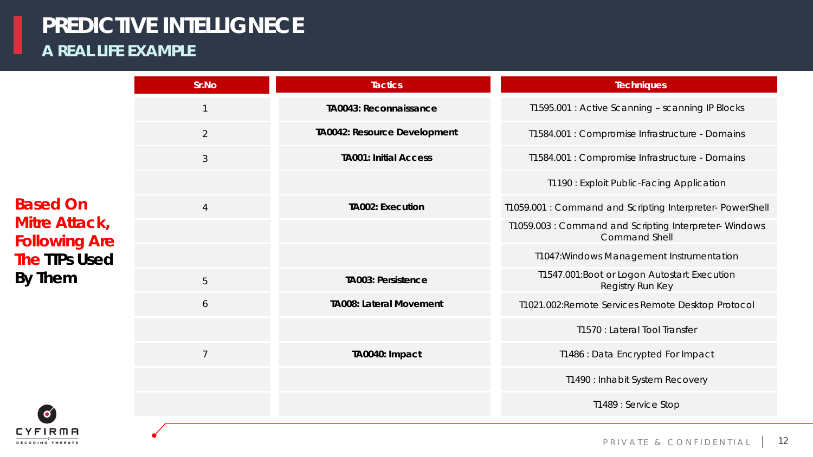| Sr.No          | <b>Tactics</b>                 | <b>Techniques</b>                                                            |
|----------------|--------------------------------|------------------------------------------------------------------------------|
| $\mathbf 1$    | TA0043: Reconnaissance         | T1595.001 : Active Scanning - scanning IP Blocks                             |
| 2              | TA0042: Resource Development   | T1584.001 : Compromise Infrastructure - Domains                              |
| $\mathcal{S}$  | <b>TA001: Initial Access</b>   | T1584.001 : Compromise Infrastructure - Domains                              |
|                |                                | T1190 : Exploit Public-Facing Application                                    |
| $\overline{4}$ | <b>TA002: Execution</b>        | T1059.001 : Command and Scripting Interpreter- PowerShell                    |
|                |                                | T1059.003: Command and Scripting Interpreter-Windows<br><b>Command Shell</b> |
|                |                                | T1047: Windows Management Instrumentation                                    |
| 5              | <b>TA003: Persistence</b>      | T1547.001:Boot or Logon Autostart Execution<br>Registry Run Key              |
| 6              | <b>TA008: Lateral Movement</b> | T1021.002:Remote Services Remote Desktop Protocol                            |
|                |                                | T1570 : Lateral Tool Transfer                                                |
| $\overline{7}$ | TA0040: Impact                 | T1486 : Data Encrypted For Impact                                            |
|                |                                | T1490 : Inhabit System Recovery                                              |
|                |                                | T1489 : Service Stop                                                         |



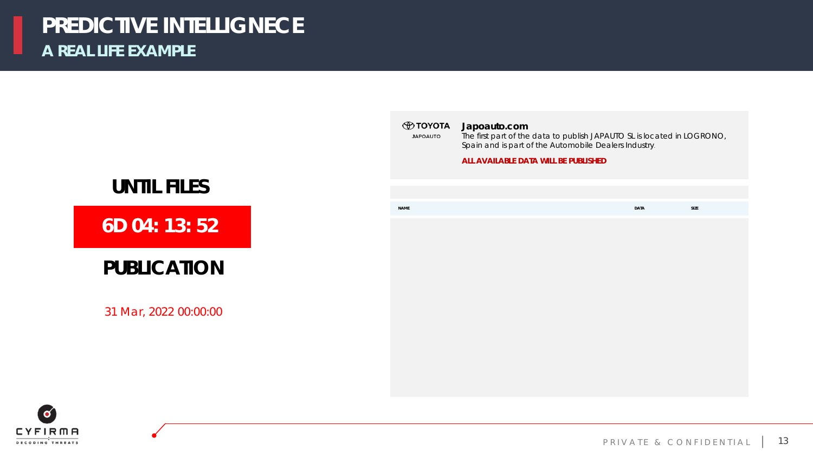

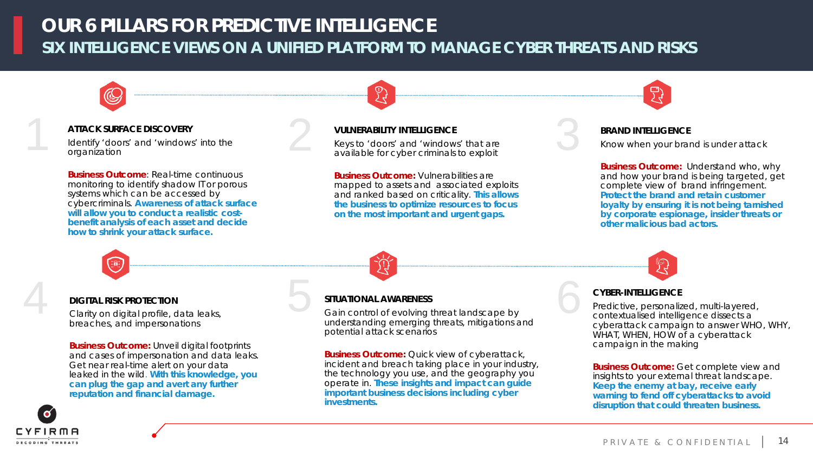## **SIX INTELLIGENCE VIEWS ON A UNIFIED PLATFORM TO MANAGE CYBER THREATS AND RISKS OUR 6 PILLARS FOR PREDICTIVE INTELLIGENCE**

#### **ATTACK SURFACE DISCOVERY**

Identify 'doors' and 'windows' into the organization

**Business Outcome**: Real-time continuous monitoring to identify shadow IT or porous systems which can be accessed by cybercriminals. **Awareness of attack surface will allow you to conduct a realistic costbenefit analysis of each asset and decide how to shrink your attack surface.** 

#### **VULNERABILITY INTELLIGENCE**

Z)

ATTACK SURFACE DISCOVERY<br>
Identify 'doors' and 'windows' into the<br>
organization<br>
available for cyber criminals to exploit<br>
ATTACK SURFACE DISCOVERY<br>  $\begin{array}{c} \text{VULNERABILITY INTELLIGENCE} \\ \text{Keys to 'doors' and 'windows' that are available for cyber$ Keys to 'doors' and 'windows' that are available for cyber criminals to exploit

> **Business Outcome:** Vulnerabilities are mapped to assets and associated exploits and ranked based on criticality. **This allows the business to optimize resources to focus on the most important and urgent gaps.**

#### **BRAND INTELLIGENCE**

Know when your brand is under attack

**Business Outcome:** Understand who, why and how your brand is being targeted, get complete view of brand infringement. **Protect the brand and retain customer loyalty by ensuring it is not being tarnished by corporate espionage, insider threats or other malicious bad actors.**

#### **DIGITAL RISK PROTECTION**

Clarity on digital profile, data leaks, breaches, and impersonations

**Business Outcome:** Unveil digital footprints and cases of impersonation and data leaks. Get near real-time alert on your data leaked in the wild. **With this knowledge, you can plug the gap and avert any further reputation and financial damage.**



#### **SITUATIONAL AWARENESS**

Gain control of evolving threat landscape by understanding emerging threats, mitigations and potential attack scenarios DIGITAL RISK PROTECTION<br>Clarity on digital profile, data leaks,<br>clarity on digital profile, data leaks,<br>clarity on digital profile, data leaks,<br>charaches and impersonations<br>charaches and impersonations

> **Business Outcome:** Quick view of cyberattack, incident and breach taking place in your industry, the technology you use, and the geography you operate in. **These insights and impact can guide important business decisions including cyber investments.**

6

Predictive, personalized, multi-layered, contextualised intelligence dissects a cyberattack campaign to answer WHO, WHY, WHAT, WHEN, HOW of a cyberattack campaign in the making

**Business Outcome:** Get complete view and insights to your external threat landscape. **Keep the enemy at bay, receive early warning to fend off cyberattacks to avoid disruption that could threaten business.**